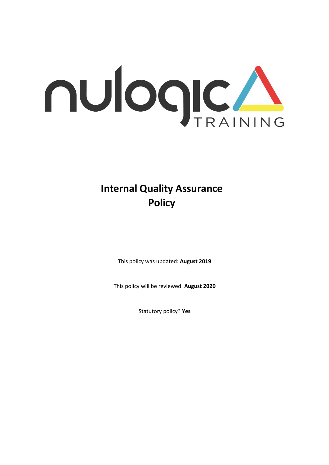

# **Internal Quality Assurance Policy**

This policy was updated: **August 2019**

This policy will be reviewed: **August 2020**

Statutory policy? **Yes**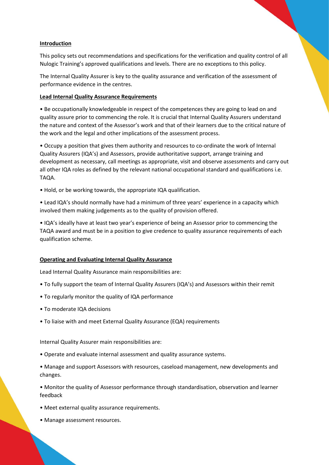# **Introduction**

This policy sets out recommendations and specifications for the verification and quality control of all Nulogic Training's approved qualifications and levels. There are no exceptions to this policy.

The Internal Quality Assurer is key to the quality assurance and verification of the assessment of performance evidence in the centres.

### **Lead Internal Quality Assurance Requirements**

• Be occupationally knowledgeable in respect of the competences they are going to lead on and quality assure prior to commencing the role. It is crucial that Internal Quality Assurers understand the nature and context of the Assessor's work and that of their learners due to the critical nature of the work and the legal and other implications of the assessment process.

• Occupy a position that gives them authority and resources to co-ordinate the work of Internal Quality Assurers (IQA's) and Assessors, provide authoritative support, arrange training and development as necessary, call meetings as appropriate, visit and observe assessments and carry out all other IQA roles as defined by the relevant national occupational standard and qualifications i.e. TAQA.

• Hold, or be working towards, the appropriate IQA qualification.

• Lead IQA's should normally have had a minimum of three years' experience in a capacity which involved them making judgements as to the quality of provision offered.

• IQA's ideally have at least two year's experience of being an Assessor prior to commencing the TAQA award and must be in a position to give credence to quality assurance requirements of each qualification scheme.

#### **Operating and Evaluating Internal Quality Assurance**

Lead Internal Quality Assurance main responsibilities are:

- To fully support the team of Internal Quality Assurers (IQA's) and Assessors within their remit
- To regularly monitor the quality of IQA performance
- To moderate IQA decisions
- To liaise with and meet External Quality Assurance (EQA) requirements

Internal Quality Assurer main responsibilities are:

• Operate and evaluate internal assessment and quality assurance systems.

• Manage and support Assessors with resources, caseload management, new developments and changes.

• Monitor the quality of Assessor performance through standardisation, observation and learner feedback

- Meet external quality assurance requirements.
- Manage assessment resources.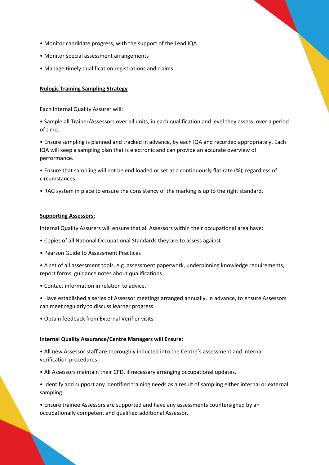- Monitor candidate progress, with the support of the Lead IQA.
- Monitor special assessment arrangements
- Manage timely qualification registrations and claims

# **Nulogic Training Sampling Strategy**

Each Internal Quality Assurer will:

• Sample all Trainer/Assessors over all units, in each qualification and level they assess, over a period of time.

• Ensure sampling is planned and tracked in advance, by each IQA and recorded appropriately. Each IQA will keep a sampling plan that is electronic and can provide an accurate overview of performance.

• Ensure that sampling will not be end loaded or set at a continuously flat rate (%), regardless of circumstances.

• RAG system in place to ensure the consistency of the marking is up to the right standard.

# **Supporting Assessors:**

Internal Quality Assurers will ensure that all Assessors within their occupational area have:

- Copies of all National Occupational Standards they are to assess against
- Pearson Guide to Assessment Practices

• A set of all assessment tools, e.g. assessment paperwork, underpinning knowledge requirements, report forms, guidance notes about qualifications.

• Contact information in relation to advice.

• Have established a series of Assessor meetings arranged annually, in advance, to ensure Assessors can meet regularly to discuss learner progress.

• Obtain feedback from External Verifier visits

# **Internal Quality Assurance/Centre Managers will Ensure:**

• All new Assessor staff are thoroughly inducted into the Centre's assessment and internal verification procedures.

- All Assessors maintain their CPD, if necessary arranging occupational updates.
- Identify and support any identified training needs as a result of sampling either internal or external sampling.

• Ensure trainee Assessors are supported and have any assessments countersigned by an occupationally competent and qualified additional Assessor.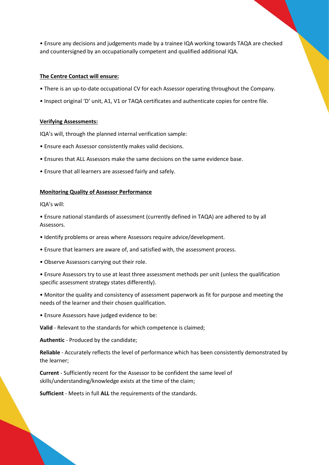• Ensure any decisions and judgements made by a trainee IQA working towards TAQA are checked and countersigned by an occupationally competent and qualified additional IQA.

#### **The Centre Contact will ensure:**

- There is an up-to-date occupational CV for each Assessor operating throughout the Company.
- Inspect original 'D' unit, A1, V1 or TAQA certificates and authenticate copies for centre file.

#### **Verifying Assessments:**

IQA's will, through the planned internal verification sample:

- Ensure each Assessor consistently makes valid decisions.
- Ensures that ALL Assessors make the same decisions on the same evidence base.
- Ensure that all learners are assessed fairly and safely.

#### **Monitoring Quality of Assessor Performance**

IQA's will:

• Ensure national standards of assessment (currently defined in TAQA) are adhered to by all Assessors.

- Identify problems or areas where Assessors require advice/development.
- Ensure that learners are aware of, and satisfied with, the assessment process.
- Observe Assessors carrying out their role.
- Ensure Assessors try to use at least three assessment methods per unit (unless the qualification specific assessment strategy states differently).
- Monitor the quality and consistency of assessment paperwork as fit for purpose and meeting the needs of the learner and their chosen qualification.
- Ensure Assessors have judged evidence to be:

**Valid** - Relevant to the standards for which competence is claimed;

**Authentic** - Produced by the candidate;

**Reliable** - Accurately reflects the level of performance which has been consistently demonstrated by the learner;

**Current** - Sufficiently recent for the Assessor to be confident the same level of skills/understanding/knowledge exists at the time of the claim;

**Sufficient** - Meets in full **ALL** the requirements of the standards.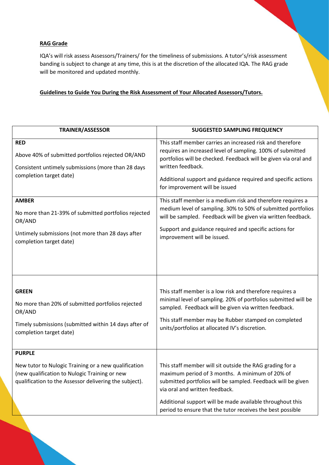# **RAG Grade**

IQA's will risk assess Assessors/Trainers/ for the timeliness of submissions. A tutor's/risk assessment banding is subject to change at any time, this is at the discretion of the allocated IQA. The RAG grade will be monitored and updated monthly.

# **Guidelines to Guide You During the Risk Assessment of Your Allocated Assessors/Tutors.**

| <b>TRAINER/ASSESSOR</b>                                                                                                                                                          | <b>SUGGESTED SAMPLING FREQUENCY</b>                                                                                                                                                                                                                                                                                                      |
|----------------------------------------------------------------------------------------------------------------------------------------------------------------------------------|------------------------------------------------------------------------------------------------------------------------------------------------------------------------------------------------------------------------------------------------------------------------------------------------------------------------------------------|
| <b>RED</b><br>Above 40% of submitted portfolios rejected OR/AND<br>Consistent untimely submissions (more than 28 days<br>completion target date)                                 | This staff member carries an increased risk and therefore<br>requires an increased level of sampling. 100% of submitted<br>portfolios will be checked. Feedback will be given via oral and<br>written feedback.<br>Additional support and guidance required and specific actions<br>for improvement will be issued                       |
| <b>AMBER</b><br>No more than 21-39% of submitted portfolios rejected<br>OR/AND<br>Untimely submissions (not more than 28 days after<br>completion target date)                   | This staff member is a medium risk and therefore requires a<br>medium level of sampling. 30% to 50% of submitted portfolios<br>will be sampled. Feedback will be given via written feedback.<br>Support and guidance required and specific actions for<br>improvement will be issued.                                                    |
| <b>GREEN</b><br>No more than 20% of submitted portfolios rejected<br>OR/AND<br>Timely submissions (submitted within 14 days after of<br>completion target date)                  | This staff member is a low risk and therefore requires a<br>minimal level of sampling. 20% of portfolios submitted will be<br>sampled. Feedback will be given via written feedback.<br>This staff member may be Rubber stamped on completed<br>units/portfolios at allocated IV's discretion.                                            |
| <b>PURPLE</b><br>New tutor to Nulogic Training or a new qualification<br>(new qualification to Nulogic Training or new<br>qualification to the Assessor delivering the subject). | This staff member will sit outside the RAG grading for a<br>maximum period of 3 months. A minimum of 20% of<br>submitted portfolios will be sampled. Feedback will be given<br>via oral and written feedback.<br>Additional support will be made available throughout this<br>period to ensure that the tutor receives the best possible |